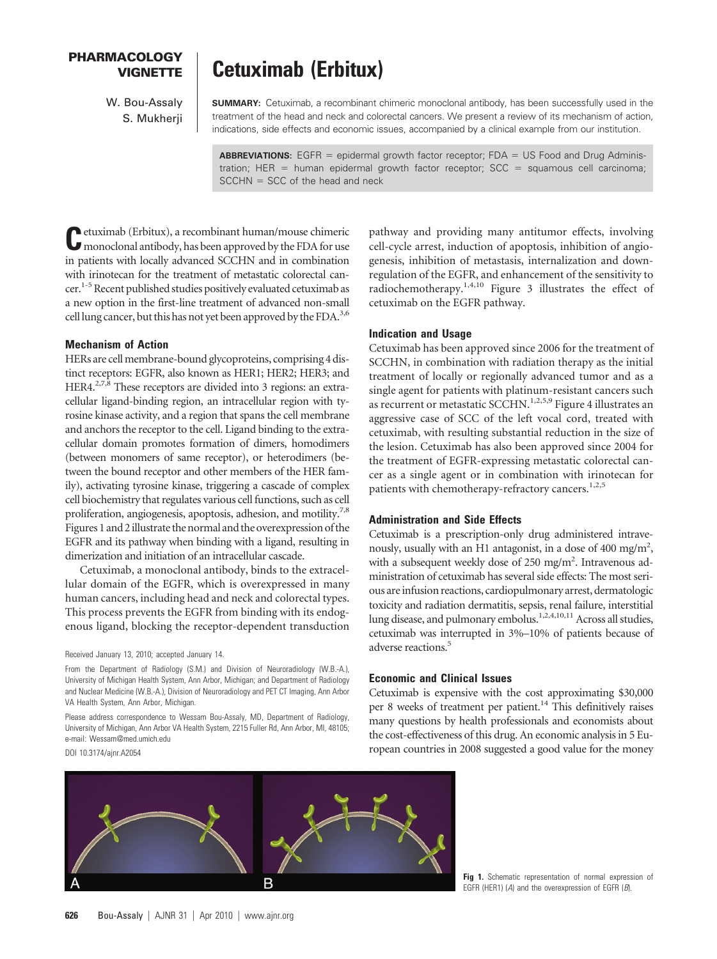# **PHARMACOLOGY**

W. Bou-Assaly S. Mukherii

# **VIGNETTE Cetuximab (Erbitux)**

**SUMMARY:** Cetuximab, a recombinant chimeric monoclonal antibody, has been successfully used in the treatment of the head and neck and colorectal cancers. We present a review of its mechanism of action, indications, side effects and economic issues, accompanied by a clinical example from our institution.

**ABBREVIATIONS:** EGFR = epidermal growth factor receptor; FDA = US Food and Drug Administration; HER = human epidermal growth factor receptor;  $SCC =$  squamous cell carcinoma;  $SCCHN = SCC$  of the head and neck

**C**etuximab (Erbitux), a recombinant human/mouse chimeric<br>monoclonal antibody, has been approved by the FDA for use in patients with locally advanced SCCHN and in combination with irinotecan for the treatment of metastatic colorectal cancer.<sup>1-5</sup> Recent published studies positively evaluated cetuximab as a new option in the first-line treatment of advanced non-small cell lung cancer, but this has not yet been approved by the FDA.<sup>3,6</sup>

### **Mechanism of Action**

HERs are cell membrane-bound glycoproteins, comprising 4 distinct receptors: EGFR, also known as HER1; HER2; HER3; and HER4.<sup>2,7,8</sup> These receptors are divided into 3 regions: an extracellular ligand-binding region, an intracellular region with tyrosine kinase activity, and a region that spans the cell membrane and anchors the receptor to the cell. Ligand binding to the extracellular domain promotes formation of dimers, homodimers (between monomers of same receptor), or heterodimers (between the bound receptor and other members of the HER family), activating tyrosine kinase, triggering a cascade of complex cell biochemistry that regulates various cell functions, such as cell proliferation, angiogenesis, apoptosis, adhesion, and motility.<sup>7,8</sup> Figures 1 and 2illustrate the normal and the overexpression of the EGFR and its pathway when binding with a ligand, resulting in dimerization and initiation of an intracellular cascade.

Cetuximab, a monoclonal antibody, binds to the extracellular domain of the EGFR, which is overexpressed in many human cancers, including head and neck and colorectal types. This process prevents the EGFR from binding with its endogenous ligand, blocking the receptor-dependent transduction

#### Received January 13, 2010; accepted January 14.

From the Department of Radiology (S.M.) and Division of Neuroradiology (W.B.-A.), University of Michigan Health System, Ann Arbor, Michigan; and Department of Radiology and Nuclear Medicine (W.B.-A.), Division of Neuroradiology and PET CT Imaging, Ann Arbor VA Health System, Ann Arbor, Michigan.

Please address correspondence to Wessam Bou-Assaly, MD, Department of Radiology, University of Michigan, Ann Arbor VA Health System, 2215 Fuller Rd, Ann Arbor, MI, 48105; e-mail: Wessam@med.umich.edu DOI 10.3174/ajnr.A2054

pathway and providing many antitumor effects, involving cell-cycle arrest, induction of apoptosis, inhibition of angiogenesis, inhibition of metastasis, internalization and downregulation of the EGFR, and enhancement of the sensitivity to radiochemotherapy.1,4,10 Figure 3 illustrates the effect of cetuximab on the EGFR pathway.

#### **Indication and Usage**

Cetuximab has been approved since 2006 for the treatment of SCCHN, in combination with radiation therapy as the initial treatment of locally or regionally advanced tumor and as a single agent for patients with platinum-resistant cancers such as recurrent or metastatic SCCHN.<sup>1,2,5,9</sup> Figure 4 illustrates an aggressive case of SCC of the left vocal cord, treated with cetuximab, with resulting substantial reduction in the size of the lesion. Cetuximab has also been approved since 2004 for the treatment of EGFR-expressing metastatic colorectal cancer as a single agent or in combination with irinotecan for patients with chemotherapy-refractory cancers.<sup>1,2,5</sup>

#### **Administration and Side Effects**

Cetuximab is a prescription-only drug administered intravenously, usually with an H1 antagonist, in a dose of 400 mg/m<sup>2</sup>, with a subsequent weekly dose of 250 mg/m<sup>2</sup>. Intravenous administration of cetuximab has several side effects: The most serious are infusion reactions, cardiopulmonary arrest, dermatologic toxicity and radiation dermatitis, sepsis, renal failure, interstitial lung disease, and pulmonary embolus.<sup>1,2,4,10,11</sup> Across all studies, cetuximab was interrupted in 3%–10% of patients because of adverse reactions.<sup>5</sup>

## **Economic and Clinical Issues**

Cetuximab is expensive with the cost approximating \$30,000 per 8 weeks of treatment per patient. $14$  This definitively raises many questions by health professionals and economists about the cost-effectiveness of this drug. An economic analysis in 5 European countries in 2008 suggested a good value for the money



**Fig 1.** Schematic representation of normal expression of EGFR (HER1) (*A*) and the overexpression of EGFR (*B*).